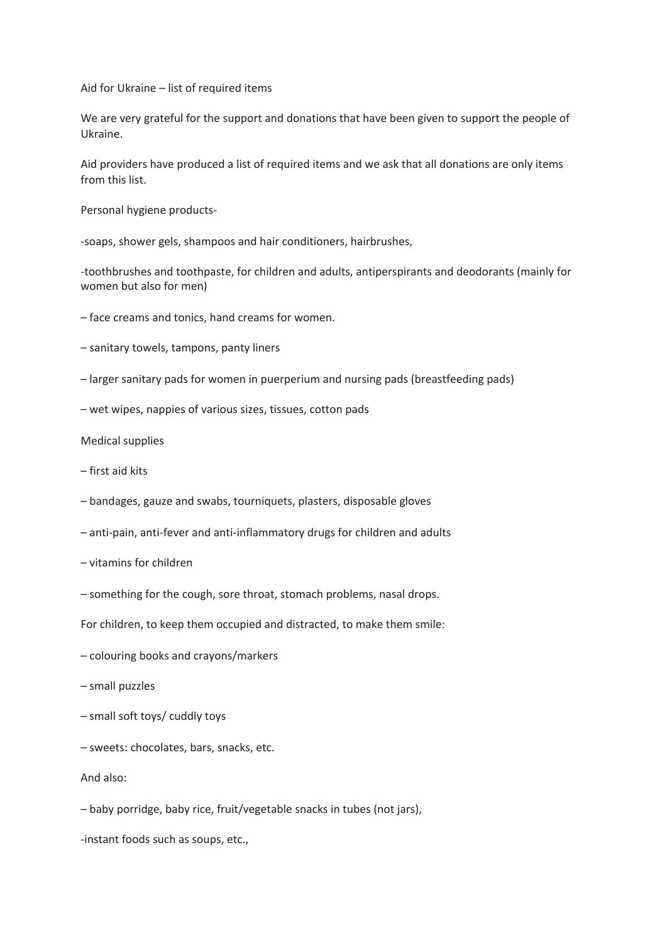Aid for Ukraine  $-$  list of required items

We are very grateful for the support and donations that have been given to support the people of Ukraine.

Aid providers have produced a list of required items and we ask that all donations are only items from this list.

Personal hygiene products-

-soaps, shower gels, shampoos and hair conditioners, hairbrushes,

-toothbrushes and toothpaste, for children and adults, antiperspirants and deodorants (mainly for women but also for men)

- face creams and tonics, hand creams for women.
- $-$  sanitary towels, tampons, panty liners
- $-$  larger sanitary pads for women in puerperium and nursing pads (breastfeeding pads)
- wet wipes, nappies of various sizes, tissues, cotton pads

Medical supplies

- first aid kits
- $-$  bandages, gauze and swabs, tourniquets, plasters, disposable gloves
- anti-pain, anti-fever and anti-inflammatory drugs for children and adults
- $-$  vitamins for children
- something for the cough, sore throat, stomach problems, nasal drops.

For children, to keep them occupied and distracted, to make them smile:

- colouring books and crayons/markers
- small puzzles
- small soft toys/ cuddly toys
- $-$  sweets: chocolates, bars, snacks, etc.

And also:

 $-$  baby porridge, baby rice, fruit/vegetable snacks in tubes (not jars),

-instant foods such as soups, etc.,